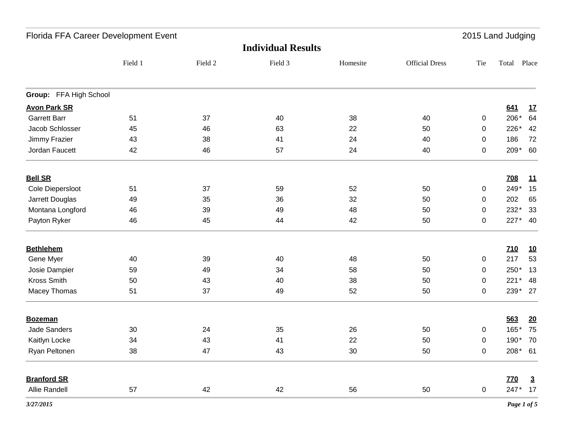| Florida FFA Career Development Event<br>2015 Land Judging |         |         |         |          |                       |     |            |                |
|-----------------------------------------------------------|---------|---------|---------|----------|-----------------------|-----|------------|----------------|
| <b>Individual Results</b>                                 |         |         |         |          |                       |     |            |                |
|                                                           | Field 1 | Field 2 | Field 3 | Homesite | <b>Official Dress</b> | Tie | Total      | Place          |
| Group: FFA High School                                    |         |         |         |          |                       |     |            |                |
| <b>Avon Park SR</b>                                       |         |         |         |          |                       |     | 641        | <u>17</u>      |
| <b>Garrett Barr</b>                                       | 51      | 37      | 40      | 38       | 40                    | 0   | 206*       | 64             |
| Jacob Schlosser                                           | 45      | 46      | 63      | 22       | 50                    | 0   | 226*       | 42             |
| Jimmy Frazier                                             | 43      | 38      | 41      | 24       | 40                    | 0   | 186        | 72             |
| Jordan Faucett                                            | 42      | 46      | 57      | 24       | 40                    | 0   | 209*       | 60             |
| <b>Bell SR</b>                                            |         |         |         |          |                       |     | <b>708</b> | <u>11</u>      |
| Cole Diepersloot                                          | 51      | 37      | 59      | 52       | 50                    | 0   | 249*       | 15             |
| Jarrett Douglas                                           | 49      | 35      | 36      | 32       | 50                    | 0   | 202        | 65             |
| Montana Longford                                          | 46      | 39      | 49      | 48       | 50                    | 0   | 232*       | 33             |
| Payton Ryker                                              | 46      | 45      | 44      | 42       | 50                    | 0   | 227*       | 40             |
| <b>Bethlehem</b>                                          |         |         |         |          |                       |     | <b>Z10</b> | <u>10</u>      |
| Gene Myer                                                 | 40      | 39      | 40      | 48       | 50                    | 0   | 217        | 53             |
| Josie Dampier                                             | 59      | 49      | 34      | 58       | 50                    | 0   | 250*       | 13             |
| Kross Smith                                               | 50      | 43      | 40      | 38       | 50                    | 0   | $221*$     | 48             |
| Macey Thomas                                              | 51      | 37      | 49      | 52       | 50                    | 0   | 239* 27    |                |
| <b>Bozeman</b>                                            |         |         |         |          |                       |     | 563        | <u>20</u>      |
| Jade Sanders                                              | 30      | 24      | 35      | 26       | 50                    | 0   | 165        | 75             |
| Kaitlyn Locke                                             | 34      | 43      | 41      | 22       | 50                    | 0   | 190*       | 70             |
| Ryan Peltonen                                             | 38      | 47      | 43      | $30\,$   | 50                    | 0   | 208* 61    |                |
| <b>Branford SR</b>                                        |         |         |         |          |                       |     | <b>770</b> | $\overline{3}$ |
| Allie Randell                                             | 57      | 42      | 42      | 56       | 50                    | 0   | 247* 17    |                |
| 3/27/2015                                                 |         |         |         |          |                       |     |            | Page 1 of 5    |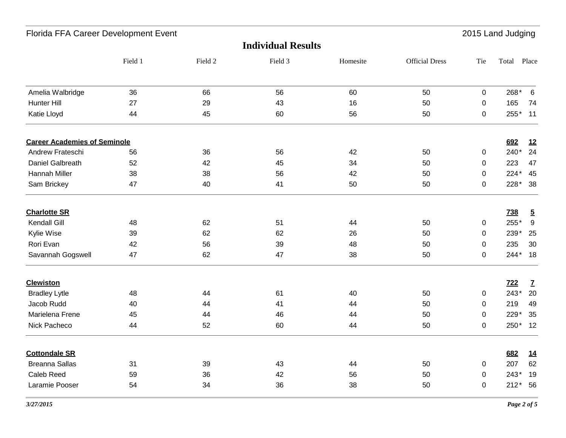| <b>Individual Results</b><br>Field 3<br><b>Official Dress</b><br>Field 1<br>Field 2<br>Tie<br>Total Place<br>Homesite<br>268*<br>Amelia Walbridge<br>36<br>66<br>56<br>60<br>50<br>$\mathbf 0$<br>$6\phantom{1}6$<br>27<br>16<br>165<br>Hunter Hill<br>29<br>43<br>50<br>$\mathbf 0$<br>74<br>Katie Lloyd<br>60<br>56<br>255*<br>11<br>44<br>45<br>50<br>0<br><b>Career Academies of Seminole</b><br>692<br>12<br>24<br>Andrew Frateschi<br>36<br>42<br>240*<br>56<br>56<br>50<br>$\pmb{0}$<br>Daniel Galbreath<br>52<br>42<br>34<br>50<br>223<br>47<br>45<br>$\mathbf 0$<br>Hannah Miller<br>38<br>38<br>42<br>224*<br>45<br>56<br>50<br>0<br>228*<br>Sam Brickey<br>47<br>40<br>50<br>38<br>41<br>50<br>$\mathbf 0$<br><b>Charlotte SR</b><br><b>738</b><br>$\overline{5}$<br>$9\,$<br>Kendall Gill<br>62<br>51<br>255*<br>48<br>44<br>50<br>$\pmb{0}$<br>Kylie Wise<br>239*<br>39<br>62<br>62<br>26<br>50<br>0<br>235<br>Rori Evan<br>42<br>56<br>48<br>30<br>39<br>50<br>0<br>$244*$<br>Savannah Gogswell<br>47<br>62<br>47<br>38<br>50<br>18<br>$\mathbf 0$<br><b>Clewiston</b><br><b>722</b><br>$\mathbf{Z}$<br>243*<br><b>Bradley Lytle</b><br>48<br>40<br>50<br>44<br>61<br>$\mathbf 0$<br>Jacob Rudd<br>219<br>40<br>44<br>41<br>44<br>50<br>49<br>0<br>Marielena Frene<br>45<br>229*<br>35<br>44<br>46<br>44<br>50<br>0<br>250*<br>Nick Pacheco<br>44<br>52<br>60<br>44<br>50<br>$\mathbf 0$<br><b>Cottondale SR</b><br>682<br><u>14</u><br><b>Breanna Sallas</b><br>207<br>62<br>31<br>39<br>43<br>50<br>44<br>$\mathbf 0$<br>Caleb Reed<br>59<br>56<br>$243*$<br>19<br>36<br>42<br>50<br>0<br>Laramie Pooser<br>36<br>38<br>212* 56<br>54<br>34<br>50<br>$\mathbf 0$ | Florida FFA Career Development Event |  |  |  |  |  | 2015 Land Judging |  |    |
|----------------------------------------------------------------------------------------------------------------------------------------------------------------------------------------------------------------------------------------------------------------------------------------------------------------------------------------------------------------------------------------------------------------------------------------------------------------------------------------------------------------------------------------------------------------------------------------------------------------------------------------------------------------------------------------------------------------------------------------------------------------------------------------------------------------------------------------------------------------------------------------------------------------------------------------------------------------------------------------------------------------------------------------------------------------------------------------------------------------------------------------------------------------------------------------------------------------------------------------------------------------------------------------------------------------------------------------------------------------------------------------------------------------------------------------------------------------------------------------------------------------------------------------------------------------------------------------------------------------------------------------------------------------------------------|--------------------------------------|--|--|--|--|--|-------------------|--|----|
|                                                                                                                                                                                                                                                                                                                                                                                                                                                                                                                                                                                                                                                                                                                                                                                                                                                                                                                                                                                                                                                                                                                                                                                                                                                                                                                                                                                                                                                                                                                                                                                                                                                                                  |                                      |  |  |  |  |  |                   |  |    |
|                                                                                                                                                                                                                                                                                                                                                                                                                                                                                                                                                                                                                                                                                                                                                                                                                                                                                                                                                                                                                                                                                                                                                                                                                                                                                                                                                                                                                                                                                                                                                                                                                                                                                  |                                      |  |  |  |  |  |                   |  |    |
|                                                                                                                                                                                                                                                                                                                                                                                                                                                                                                                                                                                                                                                                                                                                                                                                                                                                                                                                                                                                                                                                                                                                                                                                                                                                                                                                                                                                                                                                                                                                                                                                                                                                                  |                                      |  |  |  |  |  |                   |  |    |
|                                                                                                                                                                                                                                                                                                                                                                                                                                                                                                                                                                                                                                                                                                                                                                                                                                                                                                                                                                                                                                                                                                                                                                                                                                                                                                                                                                                                                                                                                                                                                                                                                                                                                  |                                      |  |  |  |  |  |                   |  |    |
|                                                                                                                                                                                                                                                                                                                                                                                                                                                                                                                                                                                                                                                                                                                                                                                                                                                                                                                                                                                                                                                                                                                                                                                                                                                                                                                                                                                                                                                                                                                                                                                                                                                                                  |                                      |  |  |  |  |  |                   |  |    |
|                                                                                                                                                                                                                                                                                                                                                                                                                                                                                                                                                                                                                                                                                                                                                                                                                                                                                                                                                                                                                                                                                                                                                                                                                                                                                                                                                                                                                                                                                                                                                                                                                                                                                  |                                      |  |  |  |  |  |                   |  |    |
|                                                                                                                                                                                                                                                                                                                                                                                                                                                                                                                                                                                                                                                                                                                                                                                                                                                                                                                                                                                                                                                                                                                                                                                                                                                                                                                                                                                                                                                                                                                                                                                                                                                                                  |                                      |  |  |  |  |  |                   |  |    |
|                                                                                                                                                                                                                                                                                                                                                                                                                                                                                                                                                                                                                                                                                                                                                                                                                                                                                                                                                                                                                                                                                                                                                                                                                                                                                                                                                                                                                                                                                                                                                                                                                                                                                  |                                      |  |  |  |  |  |                   |  |    |
|                                                                                                                                                                                                                                                                                                                                                                                                                                                                                                                                                                                                                                                                                                                                                                                                                                                                                                                                                                                                                                                                                                                                                                                                                                                                                                                                                                                                                                                                                                                                                                                                                                                                                  |                                      |  |  |  |  |  |                   |  |    |
|                                                                                                                                                                                                                                                                                                                                                                                                                                                                                                                                                                                                                                                                                                                                                                                                                                                                                                                                                                                                                                                                                                                                                                                                                                                                                                                                                                                                                                                                                                                                                                                                                                                                                  |                                      |  |  |  |  |  |                   |  |    |
|                                                                                                                                                                                                                                                                                                                                                                                                                                                                                                                                                                                                                                                                                                                                                                                                                                                                                                                                                                                                                                                                                                                                                                                                                                                                                                                                                                                                                                                                                                                                                                                                                                                                                  |                                      |  |  |  |  |  |                   |  |    |
|                                                                                                                                                                                                                                                                                                                                                                                                                                                                                                                                                                                                                                                                                                                                                                                                                                                                                                                                                                                                                                                                                                                                                                                                                                                                                                                                                                                                                                                                                                                                                                                                                                                                                  |                                      |  |  |  |  |  |                   |  |    |
|                                                                                                                                                                                                                                                                                                                                                                                                                                                                                                                                                                                                                                                                                                                                                                                                                                                                                                                                                                                                                                                                                                                                                                                                                                                                                                                                                                                                                                                                                                                                                                                                                                                                                  |                                      |  |  |  |  |  |                   |  | 25 |
|                                                                                                                                                                                                                                                                                                                                                                                                                                                                                                                                                                                                                                                                                                                                                                                                                                                                                                                                                                                                                                                                                                                                                                                                                                                                                                                                                                                                                                                                                                                                                                                                                                                                                  |                                      |  |  |  |  |  |                   |  |    |
|                                                                                                                                                                                                                                                                                                                                                                                                                                                                                                                                                                                                                                                                                                                                                                                                                                                                                                                                                                                                                                                                                                                                                                                                                                                                                                                                                                                                                                                                                                                                                                                                                                                                                  |                                      |  |  |  |  |  |                   |  |    |
|                                                                                                                                                                                                                                                                                                                                                                                                                                                                                                                                                                                                                                                                                                                                                                                                                                                                                                                                                                                                                                                                                                                                                                                                                                                                                                                                                                                                                                                                                                                                                                                                                                                                                  |                                      |  |  |  |  |  |                   |  |    |
|                                                                                                                                                                                                                                                                                                                                                                                                                                                                                                                                                                                                                                                                                                                                                                                                                                                                                                                                                                                                                                                                                                                                                                                                                                                                                                                                                                                                                                                                                                                                                                                                                                                                                  |                                      |  |  |  |  |  |                   |  | 20 |
|                                                                                                                                                                                                                                                                                                                                                                                                                                                                                                                                                                                                                                                                                                                                                                                                                                                                                                                                                                                                                                                                                                                                                                                                                                                                                                                                                                                                                                                                                                                                                                                                                                                                                  |                                      |  |  |  |  |  |                   |  |    |
|                                                                                                                                                                                                                                                                                                                                                                                                                                                                                                                                                                                                                                                                                                                                                                                                                                                                                                                                                                                                                                                                                                                                                                                                                                                                                                                                                                                                                                                                                                                                                                                                                                                                                  |                                      |  |  |  |  |  |                   |  |    |
|                                                                                                                                                                                                                                                                                                                                                                                                                                                                                                                                                                                                                                                                                                                                                                                                                                                                                                                                                                                                                                                                                                                                                                                                                                                                                                                                                                                                                                                                                                                                                                                                                                                                                  |                                      |  |  |  |  |  |                   |  | 12 |
|                                                                                                                                                                                                                                                                                                                                                                                                                                                                                                                                                                                                                                                                                                                                                                                                                                                                                                                                                                                                                                                                                                                                                                                                                                                                                                                                                                                                                                                                                                                                                                                                                                                                                  |                                      |  |  |  |  |  |                   |  |    |
|                                                                                                                                                                                                                                                                                                                                                                                                                                                                                                                                                                                                                                                                                                                                                                                                                                                                                                                                                                                                                                                                                                                                                                                                                                                                                                                                                                                                                                                                                                                                                                                                                                                                                  |                                      |  |  |  |  |  |                   |  |    |
|                                                                                                                                                                                                                                                                                                                                                                                                                                                                                                                                                                                                                                                                                                                                                                                                                                                                                                                                                                                                                                                                                                                                                                                                                                                                                                                                                                                                                                                                                                                                                                                                                                                                                  |                                      |  |  |  |  |  |                   |  |    |
|                                                                                                                                                                                                                                                                                                                                                                                                                                                                                                                                                                                                                                                                                                                                                                                                                                                                                                                                                                                                                                                                                                                                                                                                                                                                                                                                                                                                                                                                                                                                                                                                                                                                                  |                                      |  |  |  |  |  |                   |  |    |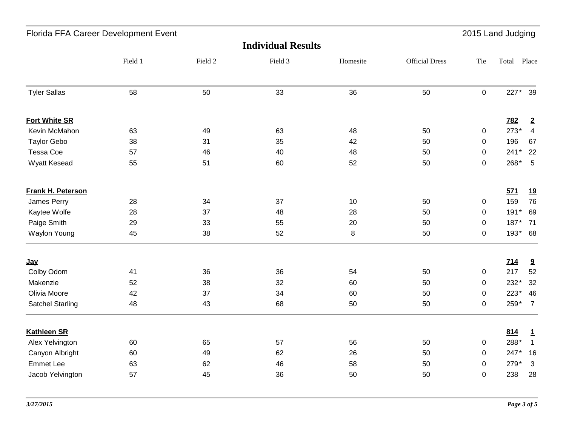| Florida FFA Career Development Event<br>2015 Land Judging |         |         |         |          |                       |             |             |                         |
|-----------------------------------------------------------|---------|---------|---------|----------|-----------------------|-------------|-------------|-------------------------|
| <b>Individual Results</b>                                 |         |         |         |          |                       |             |             |                         |
|                                                           | Field 1 | Field 2 | Field 3 | Homesite | <b>Official Dress</b> | Tie         | Total Place |                         |
| <b>Tyler Sallas</b>                                       | 58      | 50      | 33      | 36       | 50                    | $\mathbf 0$ | 227* 39     |                         |
| <b>Fort White SR</b>                                      |         |         |         |          |                       |             | <b>782</b>  | $\overline{2}$          |
| Kevin McMahon                                             | 63      | 49      | 63      | 48       | 50                    | $\pmb{0}$   | 273*        | $\overline{4}$          |
| <b>Taylor Gebo</b>                                        | 38      | 31      | 35      | 42       | 50                    | $\mathbf 0$ | 196         | 67                      |
| Tessa Coe                                                 | 57      | 46      | 40      | 48       | 50                    | $\Omega$    | $241*$      | 22                      |
| Wyatt Kesead                                              | 55      | 51      | 60      | 52       | 50                    | 0           | 268*        | $-5$                    |
| <b>Frank H. Peterson</b>                                  |         |         |         |          |                       |             | 571         | <u>19</u>               |
| James Perry                                               | 28      | 34      | 37      | 10       | 50                    | $\pmb{0}$   | 159         | 76                      |
| Kaytee Wolfe                                              | 28      | 37      | 48      | 28       | 50                    | $\mathbf 0$ | $191*$      | 69                      |
| Paige Smith                                               | 29      | 33      | 55      | 20       | 50                    | $\mathbf 0$ | 187*        | 71                      |
| <b>Waylon Young</b>                                       | 45      | 38      | 52      | $\bf 8$  | 50                    | $\mathbf 0$ | 193* 68     |                         |
| <u>Jay</u>                                                |         |         |         |          |                       |             | 714         | 9                       |
| Colby Odom                                                | 41      | 36      | 36      | 54       | 50                    | $\mathbf 0$ | 217         | 52                      |
| Makenzie                                                  | 52      | 38      | 32      | 60       | 50                    | $\mathsf 0$ | 232*        | 32                      |
| Olivia Moore                                              | 42      | 37      | 34      | 60       | 50                    | $\mathbf 0$ | 223*        | 46                      |
| <b>Satchel Starling</b>                                   | 48      | 43      | 68      | 50       | 50                    | 0           | 259*        | $\overline{7}$          |
| <b>Kathleen SR</b>                                        |         |         |         |          |                       |             | 814         | $\mathbf{1}$            |
| Alex Yelvington                                           | 60      | 65      | 57      | 56       | 50                    | $\pmb{0}$   | 288*        | $\overline{\mathbf{1}}$ |
| Canyon Albright                                           | 60      | 49      | 62      | 26       | 50                    | $\mathbf 0$ | 247*        | 16                      |
| <b>Emmet Lee</b>                                          | 63      | 62      | 46      | 58       | 50                    | $\mathbf 0$ | 279*        | $\mathbf{3}$            |
| Jacob Yelvington                                          | 57      | 45      | 36      | 50       | 50                    | $\mathbf 0$ | 238         | 28                      |
|                                                           |         |         |         |          |                       |             |             |                         |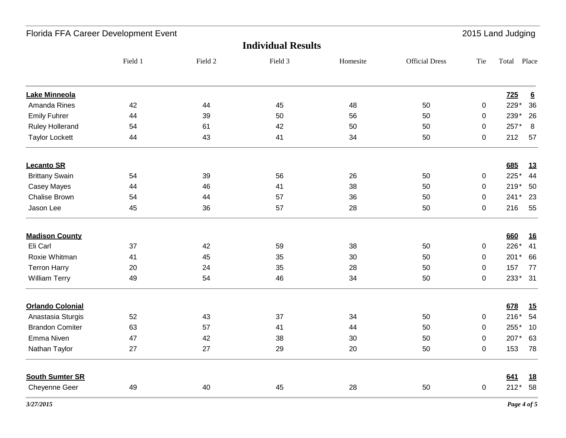| Florida FFA Career Development Event |         |         |         |          |                       | 2015 Land Judging |             |                 |
|--------------------------------------|---------|---------|---------|----------|-----------------------|-------------------|-------------|-----------------|
| <b>Individual Results</b>            |         |         |         |          |                       |                   |             |                 |
|                                      | Field 1 | Field 2 | Field 3 | Homesite | <b>Official Dress</b> | Tie               | Total       | Place           |
| <b>Lake Minneola</b>                 |         |         |         |          |                       |                   | <b>725</b>  | $\underline{6}$ |
| Amanda Rines                         | 42      | 44      | 45      | 48       | 50                    | $\pmb{0}$         | 229*        | 36              |
| <b>Emily Fuhrer</b>                  | 44      | 39      | 50      | 56       | 50                    | 0                 | 239*        | 26              |
| <b>Ruley Hollerand</b>               | 54      | 61      | 42      | 50       | 50                    | $\mathbf 0$       | 257*        | 8               |
| <b>Taylor Lockett</b>                | 44      | 43      | 41      | 34       | 50                    | 0                 | 212         | 57              |
| <b>Lecanto SR</b>                    |         |         |         |          |                       |                   | 685         | <u>13</u>       |
| <b>Brittany Swain</b>                | 54      | 39      | 56      | 26       | 50                    | 0                 | 225*        | 44              |
| Casey Mayes                          | 44      | 46      | 41      | 38       | 50                    | 0                 | $219*$      | 50              |
| <b>Chalise Brown</b>                 | 54      | 44      | 57      | 36       | 50                    | 0                 | 241*        | 23              |
| Jason Lee                            | 45      | 36      | 57      | 28       | 50                    | 0                 | 216         | 55              |
| <b>Madison County</b>                |         |         |         |          |                       |                   | 660         | <u>16</u>       |
| Eli Carl                             | 37      | 42      | 59      | 38       | 50                    | $\mathbf 0$       | 226*        | 41              |
| Roxie Whitman                        | 41      | 45      | 35      | 30       | 50                    | 0                 | $201*$      | 66              |
| <b>Terron Harry</b>                  | 20      | 24      | 35      | 28       | 50                    | $\pmb{0}$         | 157         | 77              |
| <b>William Terry</b>                 | 49      | 54      | 46      | 34       | 50                    | $\mathbf 0$       | 233*        | 31              |
| <b>Orlando Colonial</b>              |         |         |         |          |                       |                   | 678         | <u>15</u>       |
| Anastasia Sturgis                    | 52      | 43      | 37      | 34       | 50                    | 0                 | $216*$      | 54              |
| <b>Brandon Comiter</b>               | 63      | 57      | 41      | 44       | 50                    | 0                 | 255*        | 10              |
| Emma Niven                           | 47      | 42      | 38      | 30       | 50                    | 0                 | 207*        | 63              |
| Nathan Taylor                        | $27\,$  | 27      | 29      | $20\,$   | 50                    | 0                 | 153         | 78              |
| <b>South Sumter SR</b>               |         |         |         |          |                       |                   | 641         | <u>18</u>       |
| Cheyenne Geer                        | 49      | 40      | 45      | 28       | 50                    | 0                 | 212* 58     |                 |
| 3/27/2015                            |         |         |         |          |                       |                   | Page 4 of 5 |                 |